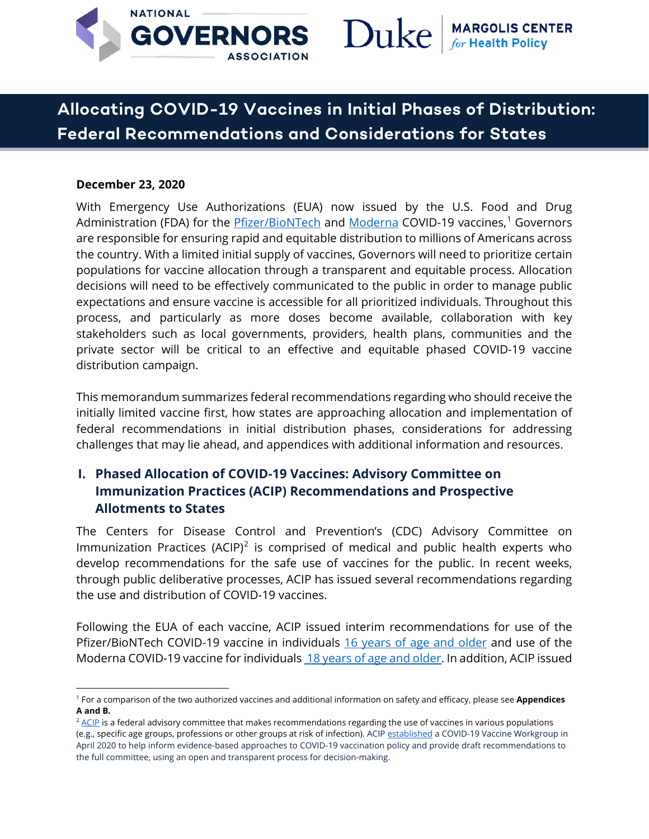

# Duke

# **Allocating COVID-19 Vaccines in Initial Phases of Distribution: Federal Recommendations and Considerations for States**

#### **December 23, 2020**

With Emergency Use Authorizations (EUA) now issued by the U.S. Food and Drug Administration (FDA) for the <u>Pfizer/BioNTech</u> and <u>Moderna</u> COVID-[1](#page-0-0)9 vaccines,<sup>1</sup> Governors are responsible for ensuring rapid and equitable distribution to millions of Americans across the country. With a limited initial supply of vaccines, Governors will need to prioritize certain populations for vaccine allocation through a transparent and equitable process. Allocation decisions will need to be effectively communicated to the public in order to manage public expectations and ensure vaccine is accessible for all prioritized individuals. Throughout this process, and particularly as more doses become available, collaboration with key stakeholders such as local governments, providers, health plans, communities and the private sector will be critical to an effective and equitable phased COVID-19 vaccine distribution campaign.

This memorandum summarizes federal recommendations regarding who should receive the initially limited vaccine first, how states are approaching allocation and implementation of federal recommendations in initial distribution phases, considerations for addressing challenges that may lie ahead, and appendices with additional information and resources.

## **I. Phased Allocation of COVID-19 Vaccines: Advisory Committee on Immunization Practices (ACIP) Recommendations and Prospective Allotments to States**

The Centers for Disease Control and Prevention's (CDC) Advisory Committee on Immunization Practices (ACIP)<sup>[2](#page-0-1)</sup> is comprised of medical and public health experts who develop recommendations for the safe use of vaccines for the public. In recent weeks, through public deliberative processes, ACIP has issued several recommendations regarding the use and distribution of COVID-19 vaccines.

Following the EUA of each vaccine, ACIP issued interim recommendations for use of the Pfizer/BioNTech COVID-19 vaccine in individuals [16 years of age and older](https://www.cdc.gov/mmwr/volumes/69/wr/mm6950e2.htm?s_cid=mm6950e2_w) and use of the Moderna COVID-19 vaccine for individuals [18 years of age and olde](https://www.cdc.gov/mmwr/volumes/69/wr/mm695152e1.htm?s_cid=mm695152e1_w)r. In addition, ACIP issued

<span id="page-0-0"></span><sup>1</sup> For a comparison of the two authorized vaccines and additional information on safety and efficacy, please see **Appendices A and B.** 

<span id="page-0-1"></span> $2$  [ACIP](https://www.cdc.gov/vaccines/acip/index.html) is a federal advisory committee that makes recommendations regarding the use of vaccines in various populations (e.g., specific age groups, professions or other groups at risk of infection). ACI[P established](https://jamanetwork.com/journals/jama/fullarticle/2768852) a COVID-19 Vaccine Workgroup in April 2020 to help inform evidence-based approaches to COVID-19 vaccination policy and provide draft recommendations to the full committee, using an open and transparent process for decision-making.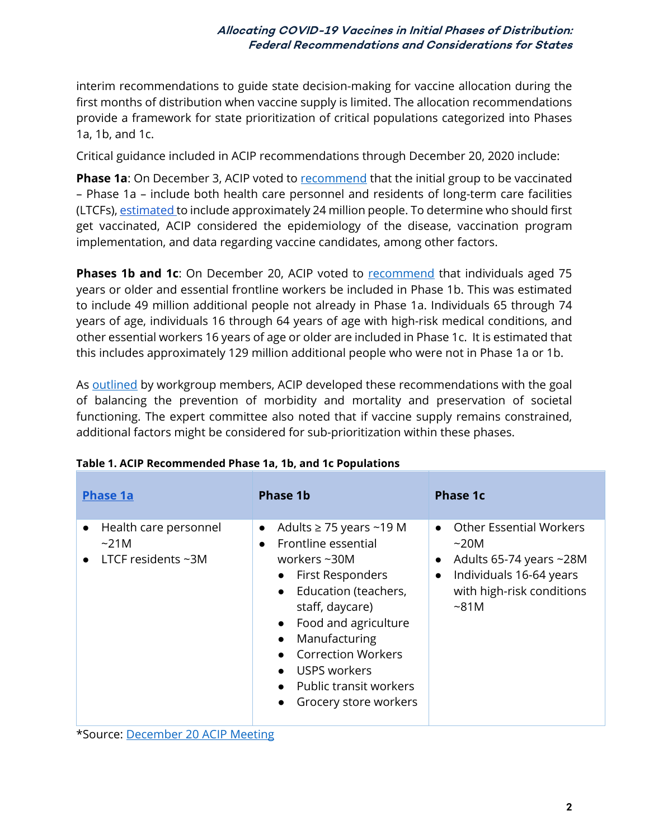interim recommendations to guide state decision-making for vaccine allocation during the first months of distribution when vaccine supply is limited. The allocation recommendations provide a framework for state prioritization of critical populations categorized into Phases 1a, 1b, and 1c.

Critical guidance included in ACIP recommendations through December 20, 2020 include:

**Phase 1a**: On December 3, ACIP voted to [recommend](https://www.cdc.gov/mmwr/volumes/69/wr/mm6949e1.htm) that the initial group to be vaccinated – Phase 1a – include both health care personnel and residents of long-term care facilities (LTCFs), [estimated t](https://www.cdc.gov/vaccines/acip/meetings/downloads/slides-2020-12/COVID-02-Dooling.pdf)o include approximately 24 million people. To determine who should first get vaccinated, ACIP considered the epidemiology of the disease, vaccination program implementation, and data regarding vaccine candidates, among other factors.

**Phases 1b and 1c**: On December 20, ACIP voted to **recommend** that individuals aged 75 years or older and essential frontline workers be included in Phase 1b. This was estimated to include 49 million additional people not already in Phase 1a. Individuals 65 through 74 years of age, individuals 16 through 64 years of age with high-risk medical conditions, and other essential workers 16 years of age or older are included in Phase 1c. It is estimated that this includes approximately 129 million additional people who were not in Phase 1a or 1b.

As [outlined](https://www.cdc.gov/vaccines/acip/meetings/downloads/slides-2020-12/slides-12-20/02-COVID-Dooling.pdf) by workgroup members, ACIP developed these recommendations with the goal of balancing the prevention of morbidity and mortality and preservation of societal functioning. The expert committee also noted that if vaccine supply remains constrained, additional factors might be considered for sub-prioritization within these phases.

| <b>Phase 1a</b>                                                                           | <b>Phase 1b</b>                                                                                                                                                                                                                                                                                                    | Phase 1c                                                                                                                                                                          |
|-------------------------------------------------------------------------------------------|--------------------------------------------------------------------------------------------------------------------------------------------------------------------------------------------------------------------------------------------------------------------------------------------------------------------|-----------------------------------------------------------------------------------------------------------------------------------------------------------------------------------|
| Health care personnel<br>$\bullet$<br>$\sim$ 21M<br>LTCF residents $\neg 3M$<br>$\bullet$ | Adults $\geq$ 75 years ~19 M<br>$\bullet$<br>Frontline essential<br>$\bullet$<br>workers $\sim$ 30M<br>• First Responders<br>• Education (teachers,<br>staff, daycare)<br>• Food and agriculture<br>Manufacturing<br>• Correction Workers<br>• USPS workers<br>• Public transit workers<br>• Grocery store workers | <b>Other Essential Workers</b><br>$\bullet$<br>~20M<br>Adults 65-74 years $\sim$ 28M<br>$\bullet$<br>Individuals 16-64 years<br>$\bullet$<br>with high-risk conditions<br>$~5$ 1M |

|  |  |  | Table 1. ACIP Recommended Phase 1a, 1b, and 1c Populations |  |  |  |  |
|--|--|--|------------------------------------------------------------|--|--|--|--|
|--|--|--|------------------------------------------------------------|--|--|--|--|

\*Source: [December 20 ACIP Meeting](https://www.cdc.gov/vaccines/acip/meetings/downloads/slides-2020-12/slides-12-20/02-COVID-Dooling.pdf)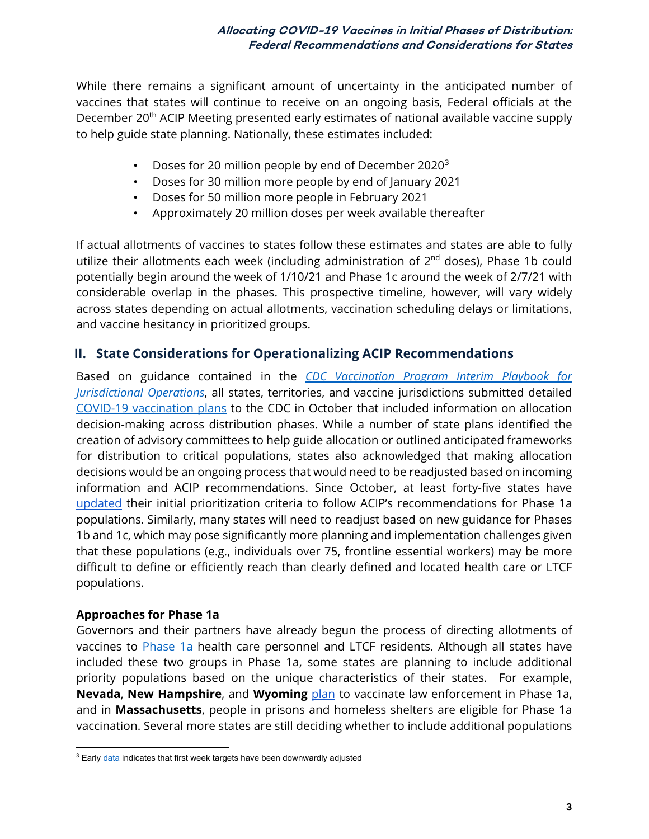While there remains a significant amount of uncertainty in the anticipated number of vaccines that states will continue to receive on an ongoing basis, Federal officials at the December 20<sup>th</sup> ACIP Meeting presented early estimates of national available vaccine supply to help guide state planning. Nationally, these estimates included:

- Doses for 20 million people by end of December 2020<sup>[3](#page-2-0)</sup>
- Doses for 30 million more people by end of January 2021
- Doses for 50 million more people in February 2021
- Approximately 20 million doses per week available thereafter

If actual allotments of vaccines to states follow these estimates and states are able to fully utilize their allotments each week (including administration of 2<sup>nd</sup> doses), Phase 1b could potentially begin around the week of 1/10/21 and Phase 1c around the week of 2/7/21 with considerable overlap in the phases. This prospective timeline, however, will vary widely across states depending on actual allotments, vaccination scheduling delays or limitations, and vaccine hesitancy in prioritized groups.

#### **II. State Considerations for Operationalizing ACIP Recommendations**

Based on guidance contained in the *[CDC Vaccination Program Interim Playbook for](https://www.cdc.gov/vaccines/imz-managers/downloads/COVID-19-Vaccination-Program-Interim_Playbook.pdf)  [Jurisdictional Operations](https://www.cdc.gov/vaccines/imz-managers/downloads/COVID-19-Vaccination-Program-Interim_Playbook.pdf)*, all states, territories, and vaccine jurisdictions submitted detailed [COVID-19 vaccination plans](https://www.nga.org/center/publications/supporting-equitable-distribution-covid-19-vaccines/) to the CDC in October that included information on allocation decision-making across distribution phases. While a number of state plans identified the creation of advisory committees to help guide allocation or outlined anticipated frameworks for distribution to critical populations, states also acknowledged that making allocation decisions would be an ongoing process that would need to be readjusted based on incoming information and ACIP recommendations. Since October, at least forty-five states have [updated](https://www.kff.org/policy-watch/how-are-states-prioritizing-who-will-get-the-covid-19-vaccine-first/) their initial prioritization criteria to follow ACIP's recommendations for Phase 1a populations. Similarly, many states will need to readjust based on new guidance for Phases 1b and 1c, which may pose significantly more planning and implementation challenges given that these populations (e.g., individuals over 75, frontline essential workers) may be more difficult to define or efficiently reach than clearly defined and located health care or LTCF populations.

#### **Approaches for Phase 1a**

Governors and their partners have already begun the process of directing allotments of vaccines to [Phase 1a](https://www.cdc.gov/mmwr/volumes/69/wr/mm6949e1.htm) health care personnel and LTCF residents. Although all states have included these two groups in Phase 1a, some states are planning to include additional priority populations based on the unique characteristics of their states. For example, **Nevada**, **New Hampshire**, and **Wyoming** [plan](https://www.kff.org/policy-watch/how-are-states-prioritizing-who-will-get-the-covid-19-vaccine-first/) to vaccinate law enforcement in Phase 1a, and in **Massachusetts**, people in prisons and homeless shelters are eligible for Phase 1a vaccination. Several more states are still deciding whether to include additional populations

<span id="page-2-0"></span><sup>&</sup>lt;sup>3</sup> Earl[y data](https://www.npr.org/2020/12/18/948030235/pfizer-says-millions-of-vaccine-doses-are-ready-but-states-say-shipments-were-cuhttps:/www.npr.org/2020/12/18/948030235/pfizer-says-millions-of-vaccine-doses-are-ready-but-states-say-shipments-were-cu) indicates that first week targets have been downwardly adjusted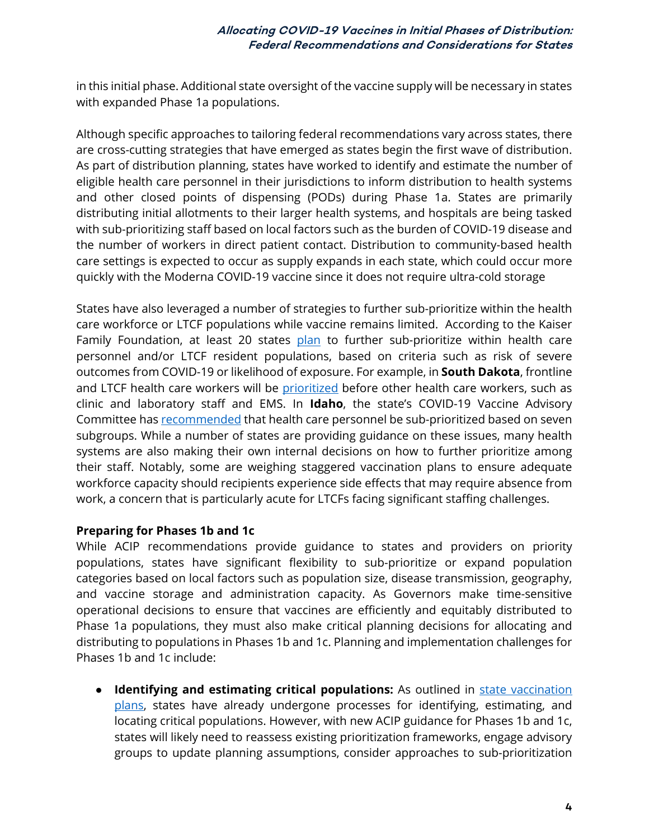in this initial phase. Additional state oversight of the vaccine supply will be necessary in states with expanded Phase 1a populations.

Although specific approaches to tailoring federal recommendations vary across states, there are cross-cutting strategies that have emerged as states begin the first wave of distribution. As part of distribution planning, states have worked to identify and estimate the number of eligible health care personnel in their jurisdictions to inform distribution to health systems and other closed points of dispensing (PODs) during Phase 1a. States are primarily distributing initial allotments to their larger health systems, and hospitals are being tasked with sub-prioritizing staff based on local factors such as the burden of COVID-19 disease and the number of workers in direct patient contact. Distribution to community-based health care settings is expected to occur as supply expands in each state, which could occur more quickly with the Moderna COVID-19 vaccine since it does not require ultra-cold storage

States have also leveraged a number of strategies to further sub-prioritize within the health care workforce or LTCF populations while vaccine remains limited. According to the Kaiser Family Foundation, at least 20 states [plan](https://www.kff.org/policy-watch/how-are-states-prioritizing-who-will-get-the-covid-19-vaccine-first/) to further sub-prioritize within health care personnel and/or LTCF resident populations, based on criteria such as risk of severe outcomes from COVID-19 or likelihood of exposure. For example, in **South Dakota**, frontline and LTCF health care workers will be [prioritized](https://doh.sd.gov/documents/COVID19/Vaccine/COVIDVaccineDistribution_Phase1.pdf) before other health care workers, such as clinic and laboratory staff and EMS. In **Idaho**, the state's COVID-19 Vaccine Advisory Committee has [recommended](https://coronavirus.idaho.gov/wp-content/uploads/2020/12/CVAC-Prioritization-for-HCP-and-Essential-Workers.pdf) that health care personnel be sub-prioritized based on seven subgroups. While a number of states are providing guidance on these issues, many health systems are also making their own internal decisions on how to further prioritize among their staff. Notably, some are weighing staggered vaccination plans to ensure adequate workforce capacity should recipients experience side effects that may require absence from work, a concern that is particularly acute for LTCFs facing significant staffing challenges.

#### **Preparing for Phases 1b and 1c**

While ACIP recommendations provide guidance to states and providers on priority populations, states have significant flexibility to sub-prioritize or expand population categories based on local factors such as population size, disease transmission, geography, and vaccine storage and administration capacity. As Governors make time-sensitive operational decisions to ensure that vaccines are efficiently and equitably distributed to Phase 1a populations, they must also make critical planning decisions for allocating and distributing to populations in Phases 1b and 1c. Planning and implementation challenges for Phases 1b and 1c include:

● **Identifying and estimating critical populations:** As outlined in [state vaccination](https://healthpolicy.duke.edu/sites/default/files/2020-12/Supporting%20an%20Equitable%20Distribution%20of%20COVID-19%20Vaccines%20FINAL.pdf)  [plans,](https://healthpolicy.duke.edu/sites/default/files/2020-12/Supporting%20an%20Equitable%20Distribution%20of%20COVID-19%20Vaccines%20FINAL.pdf) states have already undergone processes for identifying, estimating, and locating critical populations. However, with new ACIP guidance for Phases 1b and 1c, states will likely need to reassess existing prioritization frameworks, engage advisory groups to update planning assumptions, consider approaches to sub-prioritization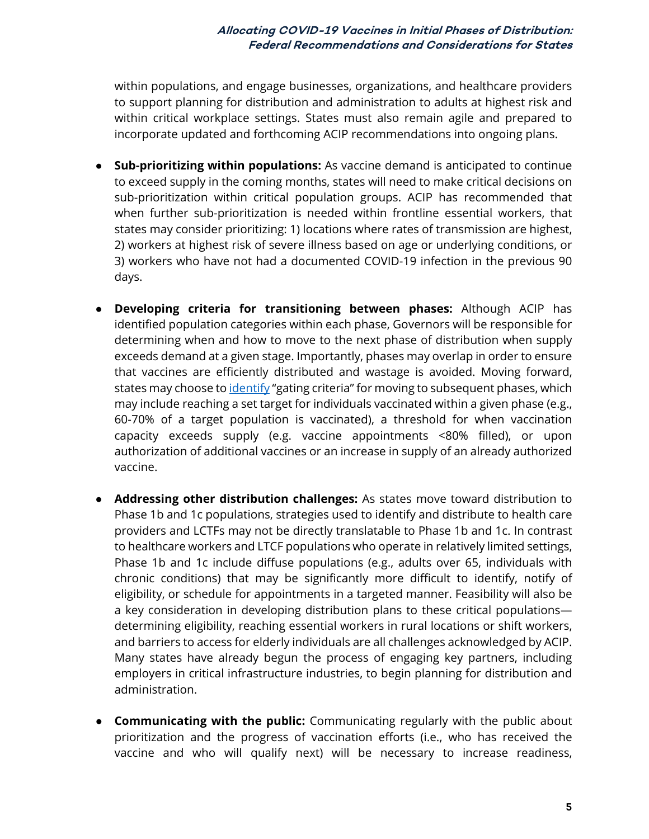within populations, and engage businesses, organizations, and healthcare providers to support planning for distribution and administration to adults at highest risk and within critical workplace settings. States must also remain agile and prepared to incorporate updated and forthcoming ACIP recommendations into ongoing plans.

- **Sub-prioritizing within populations:** As vaccine demand is anticipated to continue to exceed supply in the coming months, states will need to make critical decisions on sub-prioritization within critical population groups. ACIP has recommended that when further sub-prioritization is needed within frontline essential workers, that states may consider prioritizing: 1) locations where rates of transmission are highest, 2) workers at highest risk of severe illness based on age or underlying conditions, or 3) workers who have not had a documented COVID-19 infection in the previous 90 days.
- **Developing criteria for transitioning between phases:** Although ACIP has identified population categories within each phase, Governors will be responsible for determining when and how to move to the next phase of distribution when supply exceeds demand at a given stage. Importantly, phases may overlap in order to ensure that vaccines are efficiently distributed and wastage is avoided. Moving forward, states may choose t[o identify](https://www.cdc.gov/vaccines/acip/meetings/downloads/slides-2020-12/slides-12-20/03-COVID-Oliver.pdf) "gating criteria" for moving to subsequent phases, which may include reaching a set target for individuals vaccinated within a given phase (e.g., 60-70% of a target population is vaccinated), a threshold for when vaccination capacity exceeds supply (e.g. vaccine appointments <80% filled), or upon authorization of additional vaccines or an increase in supply of an already authorized vaccine.
- **Addressing other distribution challenges:** As states move toward distribution to Phase 1b and 1c populations, strategies used to identify and distribute to health care providers and LCTFs may not be directly translatable to Phase 1b and 1c. In contrast to healthcare workers and LTCF populations who operate in relatively limited settings, Phase 1b and 1c include diffuse populations (e.g., adults over 65, individuals with chronic conditions) that may be significantly more difficult to identify, notify of eligibility, or schedule for appointments in a targeted manner. Feasibility will also be a key consideration in developing distribution plans to these critical populations determining eligibility, reaching essential workers in rural locations or shift workers, and barriers to access for elderly individuals are all challenges acknowledged by ACIP. Many states have already begun the process of engaging key partners, including employers in critical infrastructure industries, to begin planning for distribution and administration.
- **Communicating with the public:** Communicating regularly with the public about prioritization and the progress of vaccination efforts (i.e., who has received the vaccine and who will qualify next) will be necessary to increase readiness,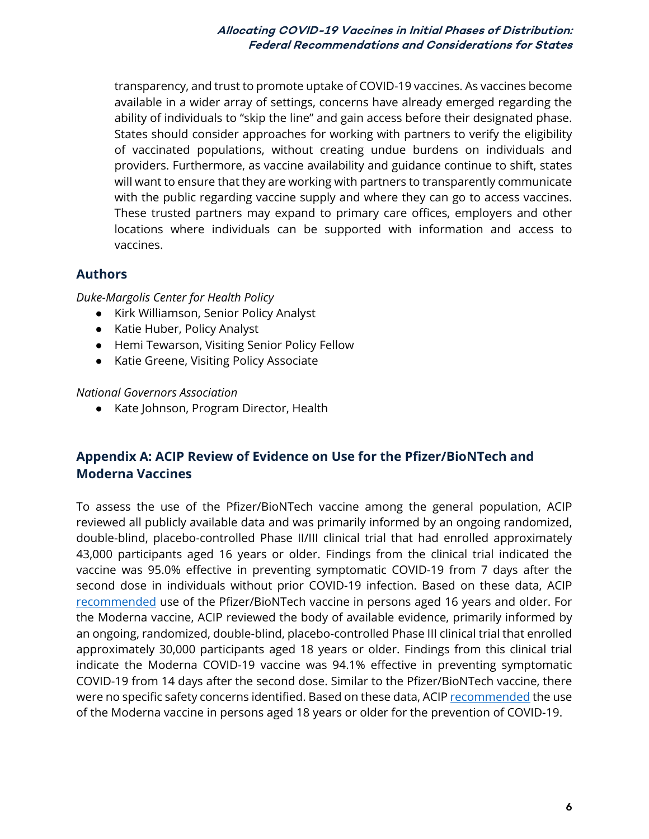transparency, and trust to promote uptake of COVID-19 vaccines. As vaccines become available in a wider array of settings, concerns have already emerged regarding the ability of individuals to "skip the line" and gain access before their designated phase. States should consider approaches for working with partners to verify the eligibility of vaccinated populations, without creating undue burdens on individuals and providers. Furthermore, as vaccine availability and guidance continue to shift, states will want to ensure that they are working with partners to transparently communicate with the public regarding vaccine supply and where they can go to access vaccines. These trusted partners may expand to primary care offices, employers and other locations where individuals can be supported with information and access to vaccines.

#### **Authors**

*Duke-Margolis Center for Health Policy*

- Kirk Williamson, Senior Policy Analyst
- Katie Huber, Policy Analyst
- Hemi Tewarson, Visiting Senior Policy Fellow
- Katie Greene, Visiting Policy Associate

#### *National Governors Association*

● Kate Johnson, Program Director, Health

#### **Appendix A: ACIP Review of Evidence on Use for the Pfizer/BioNTech and Moderna Vaccines**

To assess the use of the Pfizer/BioNTech vaccine among the general population, ACIP reviewed all publicly available data and was primarily informed by an ongoing randomized, double-blind, placebo-controlled Phase II/III clinical trial that had enrolled approximately 43,000 participants aged 16 years or older. Findings from the clinical trial indicated the vaccine was 95.0% effective in preventing symptomatic COVID-19 from 7 days after the second dose in individuals without prior COVID-19 infection. Based on these data, ACIP [recommended](https://www.cdc.gov/mmwr/volumes/69/wr/pdfs/mm6950e2-H.pdf) use of the Pfizer/BioNTech vaccine in persons aged 16 years and older. For the Moderna vaccine, ACIP reviewed the body of available evidence, primarily informed by an ongoing, randomized, double-blind, placebo-controlled Phase III clinical trial that enrolled approximately 30,000 participants aged 18 years or older. Findings from this clinical trial indicate the Moderna COVID-19 vaccine was 94.1% effective in preventing symptomatic COVID-19 from 14 days after the second dose. Similar to the Pfizer/BioNTech vaccine, there were no specific safety concerns identified. Based on these data, ACIP [recommended](https://www.cdc.gov/mmwr/volumes/69/wr/mm695152e1.htm) the use of the Moderna vaccine in persons aged 18 years or older for the prevention of COVID-19.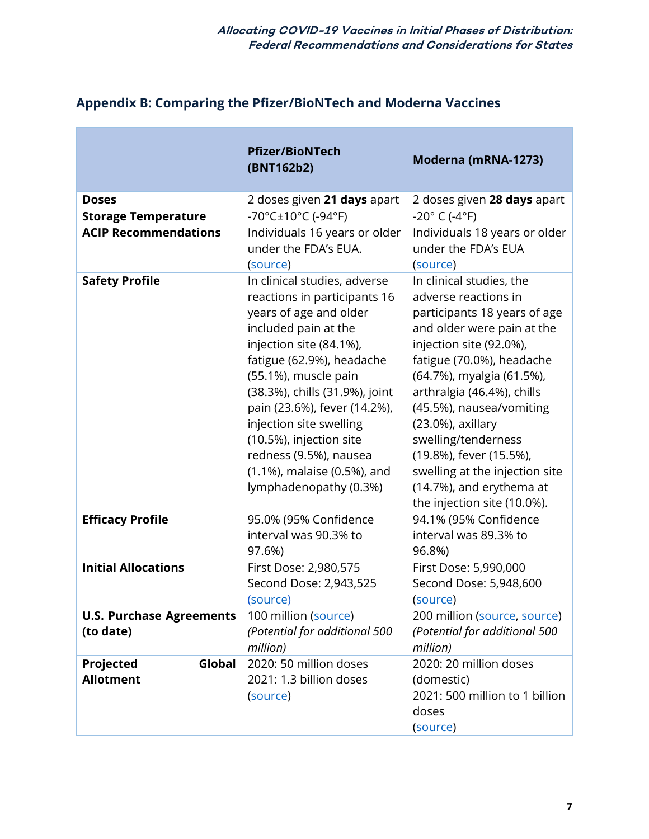|  |  |  |  | <b>Appendix B: Comparing the Pfizer/BioNTech and Moderna Vaccines</b> |  |
|--|--|--|--|-----------------------------------------------------------------------|--|
|  |  |  |  |                                                                       |  |

П

|                                              | <b>Pfizer/BioNTech</b><br>(BNT162b2)                                                                                                                                                                                                                                                                                                                                                                      | Moderna (mRNA-1273)                                                                                                                                                                                                                                                                                                                                                                                                                   |
|----------------------------------------------|-----------------------------------------------------------------------------------------------------------------------------------------------------------------------------------------------------------------------------------------------------------------------------------------------------------------------------------------------------------------------------------------------------------|---------------------------------------------------------------------------------------------------------------------------------------------------------------------------------------------------------------------------------------------------------------------------------------------------------------------------------------------------------------------------------------------------------------------------------------|
| <b>Doses</b>                                 | 2 doses given 21 days apart                                                                                                                                                                                                                                                                                                                                                                               | 2 doses given 28 days apart                                                                                                                                                                                                                                                                                                                                                                                                           |
| <b>Storage Temperature</b>                   | -70°C±10°C (-94°F)                                                                                                                                                                                                                                                                                                                                                                                        | $-20^{\circ}$ C (-4 $^{\circ}$ F)                                                                                                                                                                                                                                                                                                                                                                                                     |
| <b>ACIP Recommendations</b>                  | Individuals 16 years or older<br>under the FDA's EUA.<br>(source)                                                                                                                                                                                                                                                                                                                                         | Individuals 18 years or older<br>under the FDA's EUA<br>(source)                                                                                                                                                                                                                                                                                                                                                                      |
| <b>Safety Profile</b>                        | In clinical studies, adverse<br>reactions in participants 16<br>years of age and older<br>included pain at the<br>injection site (84.1%),<br>fatigue (62.9%), headache<br>(55.1%), muscle pain<br>(38.3%), chills (31.9%), joint<br>pain (23.6%), fever (14.2%),<br>injection site swelling<br>(10.5%), injection site<br>redness (9.5%), nausea<br>(1.1%), malaise (0.5%), and<br>lymphadenopathy (0.3%) | In clinical studies, the<br>adverse reactions in<br>participants 18 years of age<br>and older were pain at the<br>injection site (92.0%),<br>fatigue (70.0%), headache<br>(64.7%), myalgia (61.5%),<br>arthralgia (46.4%), chills<br>(45.5%), nausea/vomiting<br>$(23.0\%)$ , axillary<br>swelling/tenderness<br>(19.8%), fever (15.5%),<br>swelling at the injection site<br>(14.7%), and erythema at<br>the injection site (10.0%). |
| <b>Efficacy Profile</b>                      | 95.0% (95% Confidence<br>interval was 90.3% to<br>97.6%)                                                                                                                                                                                                                                                                                                                                                  | 94.1% (95% Confidence<br>interval was 89.3% to<br>96.8%)                                                                                                                                                                                                                                                                                                                                                                              |
| <b>Initial Allocations</b>                   | First Dose: 2,980,575<br>Second Dose: 2,943,525<br>(source)                                                                                                                                                                                                                                                                                                                                               | First Dose: 5,990,000<br>Second Dose: 5,948,600<br>(source)                                                                                                                                                                                                                                                                                                                                                                           |
| <b>U.S. Purchase Agreements</b><br>(to date) | 100 million (source)<br>(Potential for additional 500<br>million)                                                                                                                                                                                                                                                                                                                                         | 200 million (source, source)<br>(Potential for additional 500<br>million)                                                                                                                                                                                                                                                                                                                                                             |
| Global<br>Projected<br><b>Allotment</b>      | 2020: 50 million doses<br>2021: 1.3 billion doses<br>(source)                                                                                                                                                                                                                                                                                                                                             | 2020: 20 million doses<br>(domestic)<br>2021: 500 million to 1 billion<br>doses<br>(source)                                                                                                                                                                                                                                                                                                                                           |